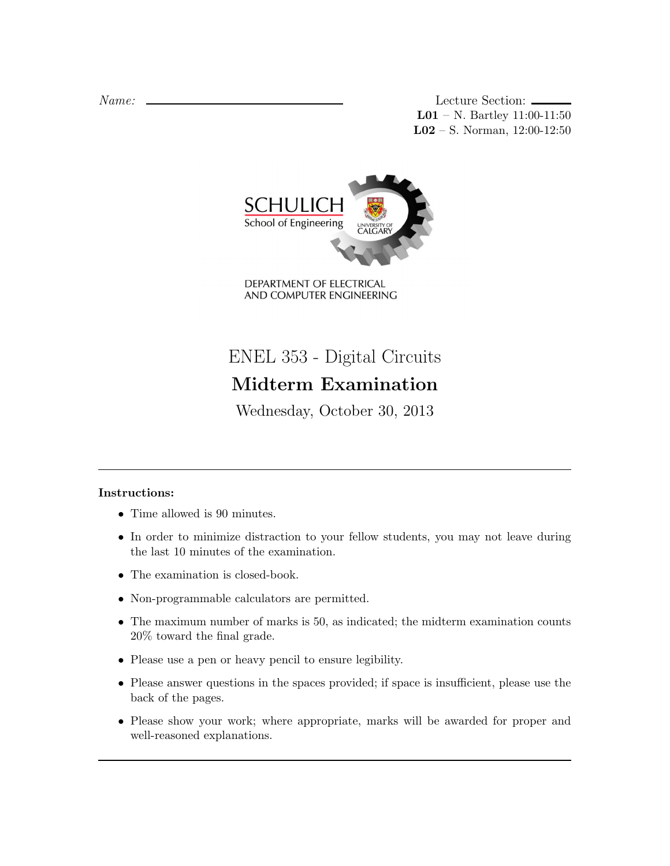Name: Lecture Section: L01 – N. Bartley 11:00-11:50 L02 – S. Norman, 12:00-12:50



DEPARTMENT OF ELECTRICAL AND COMPUTER ENGINEERING

ENEL 353 - Digital Circuits Midterm Examination

Wednesday, October 30, 2013

# Instructions:

- Time allowed is 90 minutes.
- In order to minimize distraction to your fellow students, you may not leave during the last 10 minutes of the examination.
- The examination is closed-book.
- Non-programmable calculators are permitted.
- The maximum number of marks is 50, as indicated; the midterm examination counts 20% toward the final grade.
- Please use a pen or heavy pencil to ensure legibility.
- Please answer questions in the spaces provided; if space is insufficient, please use the back of the pages.
- Please show your work; where appropriate, marks will be awarded for proper and well-reasoned explanations.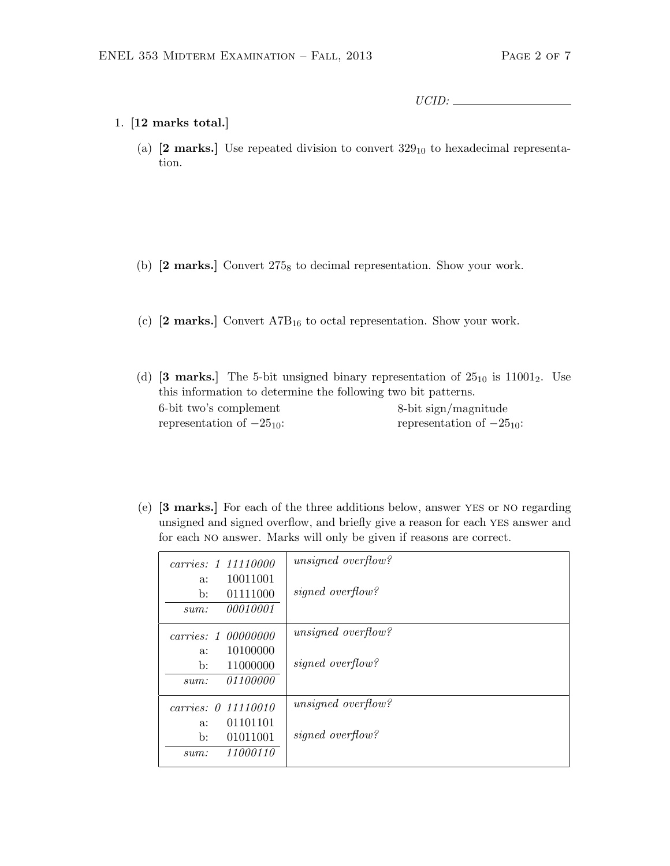UCID:

## 1. [12 marks total.]

(a)  $[2 \text{ marks.}]$  Use repeated division to convert  $329_{10}$  to hexadecimal representation.

- (b)  $[2 \text{ marks.}]$  Convert  $275_8$  to decimal representation. Show your work.
- (c)  $[2 \text{ marks.}]$  Convert A7B<sub>16</sub> to octal representation. Show your work.

(d)  $[3 \text{ marks.}]$  The 5-bit unsigned binary representation of  $25_{10}$  is  $11001_2$ . Use this information to determine the following two bit patterns. 6-bit two's complement representation of  $-25_{10}$ : 8-bit sign/magnitude representation of  $-25_{10}$ :

(e) [3 marks.] For each of the three additions below, answer yes or no regarding unsigned and signed overflow, and briefly give a reason for each yes answer and for each no answer. Marks will only be given if reasons are correct.

| carries: 1, 11110000       | unsigned overflow? |
|----------------------------|--------------------|
| 10011001<br>a:             |                    |
| 01111000<br>b:             | signed overflow?   |
| <i>00010001</i><br>sum:    |                    |
| carries: 1,00000000        | unsigned overflow? |
| 10100000<br>a:             |                    |
| 11000000<br>$\mathbf{b}$ : | signed overflow?   |
| <i>01100000</i><br>sum:    |                    |
| carries: 0 11110010        | unsigned overflow? |
| 01101101<br>$a$ :          |                    |
| 01011001<br>$\mathbf{b}$ : | signed overflow?   |
| 11000110<br>sum:           |                    |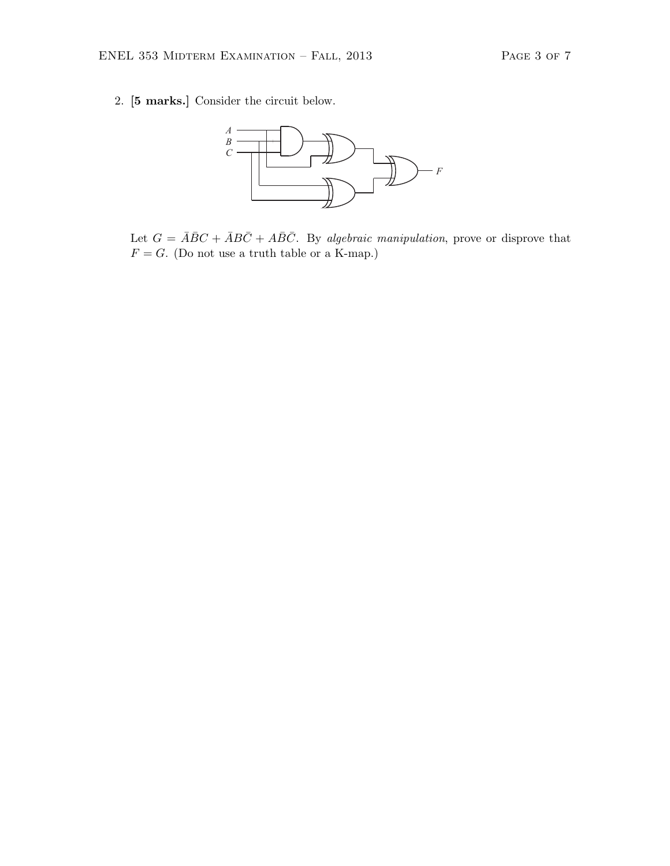2. [5 marks.] Consider the circuit below.



Let  $G = \overline{A}\overline{B}C + \overline{A}B\overline{C} + A\overline{B}\overline{C}$ . By algebraic manipulation, prove or disprove that  $F = G$ . (Do not use a truth table or a K-map.)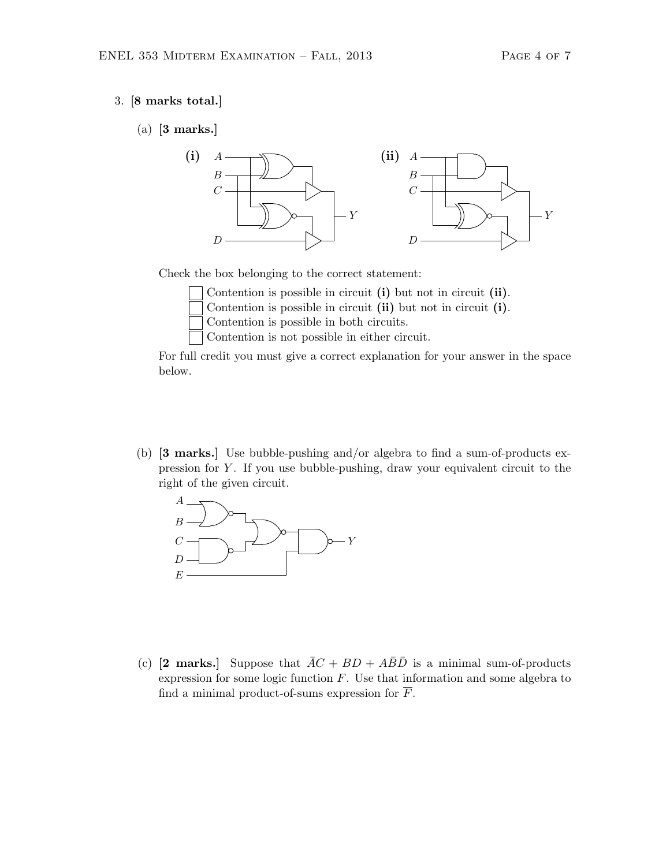#### 3. [8 marks total.]

(a) [3 marks.]



Check the box belonging to the correct statement:

Contention is possible in circuit (i) but not in circuit (ii).

Contention is possible in circuit (ii) but not in circuit (i).

Contention is possible in both circuits.

Contention is not possible in either circuit.

For full credit you must give a correct explanation for your answer in the space below.

(b) [3 marks.] Use bubble-pushing and/or algebra to find a sum-of-products expression for Y . If you use bubble-pushing, draw your equivalent circuit to the right of the given circuit.



(c) [2 marks.] Suppose that  $\overline{AC} + BD + A\overline{B}\overline{D}$  is a minimal sum-of-products expression for some logic function  $F$ . Use that information and some algebra to find a minimal product-of-sums expression for  $\overline{F}$ .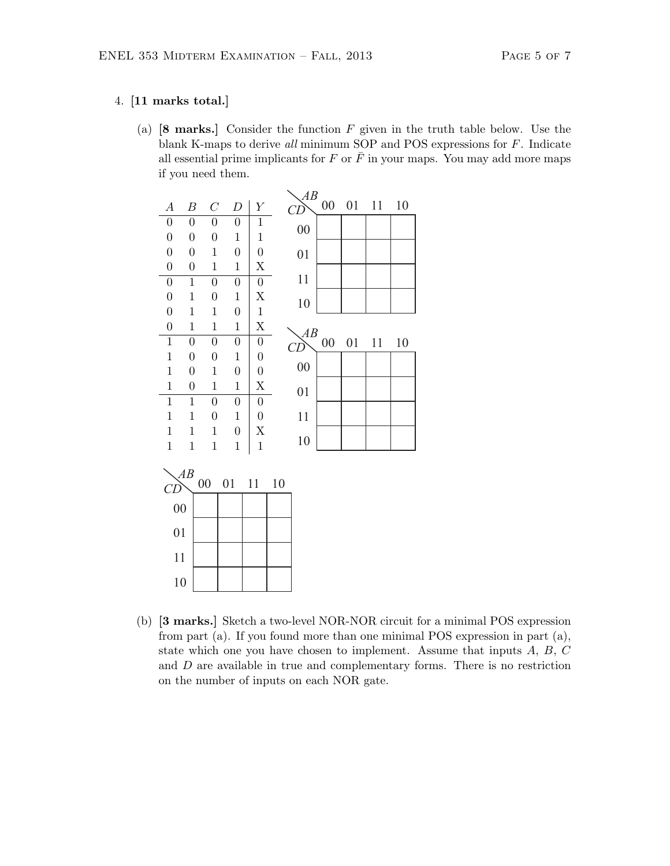### 4. [11 marks total.]

(a)  $[8 \text{ marks.}]$  Consider the function  $F$  given in the truth table below. Use the blank K-maps to derive all minimum SOP and POS expressions for F. Indicate all essential prime implicants for F or  $\bar{F}$  in your maps. You may add more maps if you need them.



(b) [3 marks.] Sketch a two-level NOR-NOR circuit for a minimal POS expression from part (a). If you found more than one minimal POS expression in part (a), state which one you have chosen to implement. Assume that inputs  $A, B, C$ and D are available in true and complementary forms. There is no restriction on the number of inputs on each NOR gate.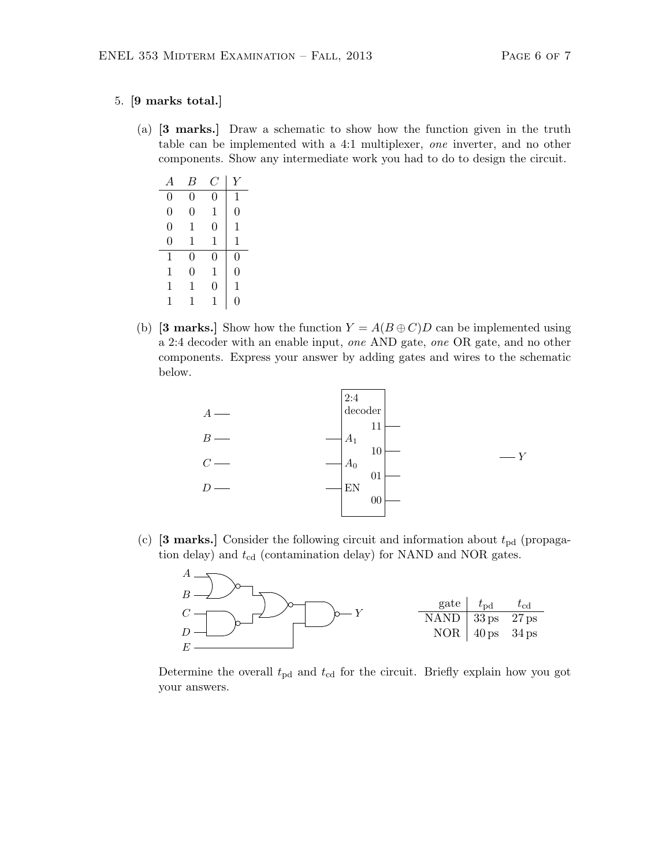#### 5. [9 marks total.]

(a) [3 marks.] Draw a schematic to show how the function given in the truth table can be implemented with a 4:1 multiplexer, one inverter, and no other components. Show any intermediate work you had to do to design the circuit.

| А              | B              | C | Y              |
|----------------|----------------|---|----------------|
| $\overline{0}$ | $\overline{0}$ | 0 | 1              |
| $\overline{0}$ | 0              | 1 | $\overline{0}$ |
| $\overline{0}$ | 1              | 0 | 1              |
| $\overline{0}$ | 1              | 1 | 1              |
| 1              | $\overline{0}$ | 0 | $\overline{0}$ |
| 1              | $\overline{0}$ | 1 | $\overline{0}$ |
| 1              | 1              | 0 | 1              |
| 1              | 1              | 1 | 0              |

(b) [3 marks.] Show how the function  $Y = A(B \oplus C)D$  can be implemented using a 2:4 decoder with an enable input, one AND gate, one OR gate, and no other components. Express your answer by adding gates and wires to the schematic below.



(c) [3 marks.] Consider the following circuit and information about  $t_{\text{pd}}$  (propagation delay) and  $t_{\rm cd}$  (contamination delay) for NAND and NOR gates.



Determine the overall  $t_{\rm pd}$  and  $t_{\rm cd}$  for the circuit. Briefly explain how you got your answers.